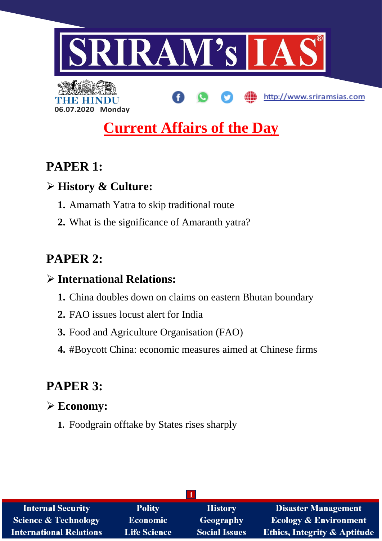

# **Current Affairs of the Day**

# **PAPER 1:**

# **History & Culture:**

**06.07.2020 Monday**

- **1.** Amarnath Yatra to skip traditional route
- **2.** What is the significance of Amaranth yatra?

# **PAPER 2:**

# **International Relations:**

- **1.** China doubles down on claims on eastern Bhutan boundary
- **2.** FAO issues locust alert for India
- **3.** Food and Agriculture Organisation (FAO)
- **4.** #Boycott China: economic measures aimed at Chinese firms

# **PAPER 3:**

# **Economy:**

**1.** Foodgrain offtake by States rises sharply

| <b>Internal Security</b>        | <b>Polity</b>       | <b>History</b>       | <b>Disaster Management</b>              |  |
|---------------------------------|---------------------|----------------------|-----------------------------------------|--|
| <b>Science &amp; Technology</b> | <b>Economic</b>     | <b>Geography</b>     | <b>Ecology &amp; Environment</b>        |  |
| <b>International Relations</b>  | <b>Life Science</b> | <b>Social Issues</b> | <b>Ethics, Integrity &amp; Aptitude</b> |  |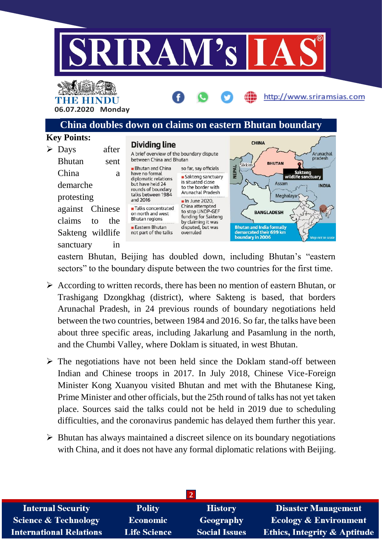

THE HINDL **06.07.2020 Monday**

# **China doubles down on claims on eastern Bhutan boundary**

http://www.sriramsias.com

**INDIA** 

#### **Key Points: CHINA Dividing line**  $\triangleright$  Days after A brief overview of the boundary dispute Arunachal pradesh between China and Bhutan Bhutan sent **RHIITAN** .<br>Sikkir Bhutan and China so far, say officials NEPAL China a have no formal Sakteng<br>wildlife sanctuary • Sakteng sanctuary diplomatic relations is situated close Assam demarche but have held 24 to the border with rounds of boundary Arunachal Pradesh talks between 1984 Meghalaya protesting and 2016 In June 2020, China attempted against Chinese **Talks** concentrated to stop UNDP-GEF **BANGLADESH** on north and west funding for Sakteng **Bhutan regions** claims to the by claiming it was **Eastern Bhutan** disputed, but was **Bhutan and India formally** Sakteng wildlife not part of the talks overruled demarcated their 699 km boundary in 2006 sanctuary in

eastern Bhutan, Beijing has doubled down, including Bhutan's "eastern sectors" to the boundary dispute between the two countries for the first time.

- $\triangleright$  According to written records, there has been no mention of eastern Bhutan, or Trashigang Dzongkhag (district), where Sakteng is based, that borders Arunachal Pradesh, in 24 previous rounds of boundary negotiations held between the two countries, between 1984 and 2016. So far, the talks have been about three specific areas, including Jakarlung and Pasamlung in the north, and the Chumbi Valley, where Doklam is situated, in west Bhutan.
- $\triangleright$  The negotiations have not been held since the Doklam stand-off between Indian and Chinese troops in 2017. In July 2018, Chinese Vice-Foreign Minister Kong Xuanyou visited Bhutan and met with the Bhutanese King, Prime Minister and other officials, but the 25th round of talks has not yet taken place. Sources said the talks could not be held in 2019 due to scheduling difficulties, and the coronavirus pandemic has delayed them further this year.
- $\triangleright$  Bhutan has always maintained a discreet silence on its boundary negotiations with China, and it does not have any formal diplomatic relations with Beijing.

| <b>Internal Security</b>        | <b>Polity</b>       | <b>History</b>       | <b>Disaster Management</b>              |  |
|---------------------------------|---------------------|----------------------|-----------------------------------------|--|
| <b>Science &amp; Technology</b> | <b>Economic</b>     | <b>Geography</b>     | <b>Ecology &amp; Environment</b>        |  |
| <b>International Relations</b>  | <b>Life Science</b> | <b>Social Issues</b> | <b>Ethics, Integrity &amp; Aptitude</b> |  |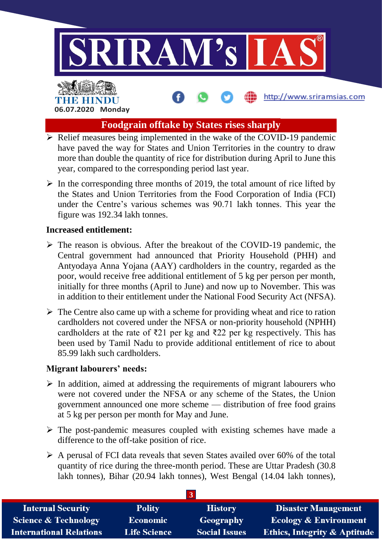

# **Foodgrain offtake by States rises sharply**

- $\triangleright$  Relief measures being implemented in the wake of the COVID-19 pandemic have paved the way for States and Union Territories in the country to draw more than double the quantity of rice for distribution during April to June this year, compared to the corresponding period last year.
- $\triangleright$  In the corresponding three months of 2019, the total amount of rice lifted by the States and Union Territories from the Food Corporation of India (FCI) under the Centre's various schemes was 90.71 lakh tonnes. This year the figure was 192.34 lakh tonnes.

#### **Increased entitlement:**

- $\triangleright$  The reason is obvious. After the breakout of the COVID-19 pandemic, the Central government had announced that Priority Household (PHH) and Antyodaya Anna Yojana (AAY) cardholders in the country, regarded as the poor, would receive free additional entitlement of 5 kg per person per month, initially for three months (April to June) and now up to November. This was in addition to their entitlement under the National Food Security Act (NFSA).
- $\triangleright$  The Centre also came up with a scheme for providing wheat and rice to ration cardholders not covered under the NFSA or non-priority household (NPHH) cardholders at the rate of ₹21 per kg and ₹22 per kg respectively. This has been used by Tamil Nadu to provide additional entitlement of rice to about 85.99 lakh such cardholders.

## **Migrant labourers' needs:**

- $\triangleright$  In addition, aimed at addressing the requirements of migrant labourers who were not covered under the NFSA or any scheme of the States, the Union government announced one more scheme — distribution of free food grains at 5 kg per person per month for May and June.
- $\triangleright$  The post-pandemic measures coupled with existing schemes have made a difference to the off-take position of rice.
- $\triangleright$  A perusal of FCI data reveals that seven States availed over 60% of the total quantity of rice during the three-month period. These are Uttar Pradesh (30.8 lakh tonnes), Bihar (20.94 lakh tonnes), West Bengal (14.04 lakh tonnes),

| <b>Internal Security</b>        | <b>Polity</b>       | <b>History</b>       | <b>Disaster Management</b>              |  |
|---------------------------------|---------------------|----------------------|-----------------------------------------|--|
| <b>Science &amp; Technology</b> | <b>Economic</b>     | Geography            | <b>Ecology &amp; Environment</b>        |  |
| <b>International Relations</b>  | <b>Life Science</b> | <b>Social Issues</b> | <b>Ethics, Integrity &amp; Aptitude</b> |  |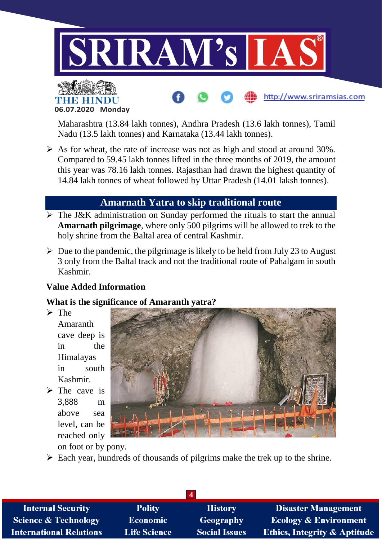



Maharashtra (13.84 lakh tonnes), Andhra Pradesh (13.6 lakh tonnes), Tamil Nadu (13.5 lakh tonnes) and Karnataka (13.44 lakh tonnes).

http://www.sriramsias.com

 $\triangleright$  As for wheat, the rate of increase was not as high and stood at around 30%. Compared to 59.45 lakh tonnes lifted in the three months of 2019, the amount this year was 78.16 lakh tonnes. Rajasthan had drawn the highest quantity of 14.84 lakh tonnes of wheat followed by Uttar Pradesh (14.01 laksh tonnes).

# **Amarnath Yatra to skip traditional route**

- $\triangleright$  The J&K administration on Sunday performed the rituals to start the annual **Amarnath pilgrimage**, where only 500 pilgrims will be allowed to trek to the holy shrine from the Baltal area of central Kashmir.
- $\triangleright$  Due to the pandemic, the pilgrimage is likely to be held from July 23 to August 3 only from the Baltal track and not the traditional route of Pahalgam in south Kashmir.

# **Value Added Information**

## **What is the significance of Amaranth yatra?**

- $\triangleright$  The Amaranth cave deep is in the Himalayas in south Kashmir.
- $\triangleright$  The cave is 3,888 m above sea level, can be reached only



on foot or by pony.

 $\triangleright$  Each year, hundreds of thousands of pilgrims make the trek up to the shrine.

| <b>Internal Security</b>        | <b>Polity</b>       | <b>History</b>       | <b>Disaster Management</b>              |
|---------------------------------|---------------------|----------------------|-----------------------------------------|
| <b>Science &amp; Technology</b> | <b>Economic</b>     | <b>Geography</b>     | <b>Ecology &amp; Environment</b>        |
| <b>International Relations</b>  | <b>Life Science</b> | <b>Social Issues</b> | <b>Ethics, Integrity &amp; Aptitude</b> |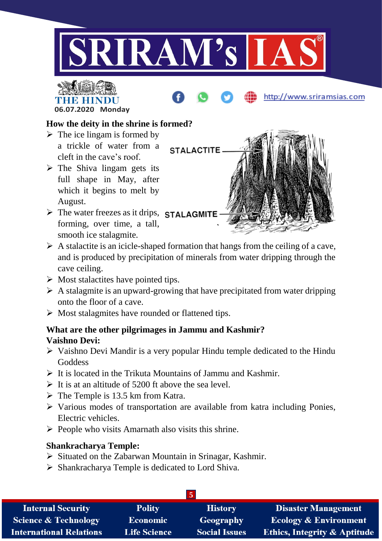





- $\triangleright$  The ice lingam is formed by a trickle of water from a cleft in the cave's roof.
- $\triangleright$  The Shiva lingam gets its full shape in May, after which it begins to melt by August.
- $\triangleright$  The water freezes as it drips, STALAGMITE forming, over time, a tall, smooth ice stalagmite.



http://www.sriramsias.com

- $\triangleright$  A stalactite is an icicle-shaped formation that hangs from the ceiling of a cave, and is produced by precipitation of minerals from water dripping through the cave ceiling.
- $\triangleright$  Most stalactites have pointed tips.
- $\triangleright$  A stalagmite is an upward-growing that have precipitated from water dripping onto the floor of a cave.
- $\triangleright$  Most stalagmites have rounded or flattened tips.

## **What are the other pilgrimages in Jammu and Kashmir? Vaishno Devi:**

- $\triangleright$  Vaishno Devi Mandir is a very popular Hindu temple dedicated to the Hindu **Goddess**
- $\triangleright$  It is located in the Trikuta Mountains of Jammu and Kashmir.
- $\triangleright$  It is at an altitude of 5200 ft above the sea level.
- $\triangleright$  The Temple is 13.5 km from Katra.
- $\triangleright$  Various modes of transportation are available from katra including Ponies, Electric vehicles.
- $\triangleright$  People who visits Amarnath also visits this shrine.

## **Shankracharya Temple:**

- $\triangleright$  Situated on the Zabarwan Mountain in Srinagar, Kashmir.
- $\triangleright$  Shankracharya Temple is dedicated to Lord Shiva.

| $\mathcal{D}$                   |                     |                      |                                         |  |
|---------------------------------|---------------------|----------------------|-----------------------------------------|--|
| <b>Internal Security</b>        | <b>Polity</b>       | <b>History</b>       | <b>Disaster Management</b>              |  |
| <b>Science &amp; Technology</b> | <b>Economic</b>     | Geography            | <b>Ecology &amp; Environment</b>        |  |
| <b>International Relations</b>  | <b>Life Science</b> | <b>Social Issues</b> | <b>Ethics, Integrity &amp; Aptitude</b> |  |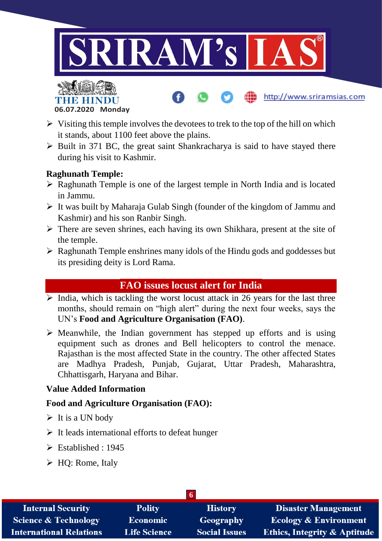

http://www.sriramsias.com



- $\triangleright$  Visiting this temple involves the devotees to trek to the top of the hill on which it stands, about 1100 feet above the plains.
- $\triangleright$  Built in 371 BC, the great saint Shankracharya is said to have stayed there during his visit to Kashmir.

## **Raghunath Temple:**

- $\triangleright$  Raghunath Temple is one of the largest temple in North India and is located in Jammu.
- $\triangleright$  It was built by Maharaja Gulab Singh (founder of the kingdom of Jammu and Kashmir) and his son Ranbir Singh.
- $\triangleright$  There are seven shrines, each having its own Shikhara, present at the site of the temple.
- $\triangleright$  Raghunath Temple enshrines many idols of the Hindu gods and goddesses but its presiding deity is Lord Rama.

# **FAO issues locust alert for India**

- $\triangleright$  India, which is tackling the worst locust attack in 26 years for the last three months, should remain on "high alert" during the next four weeks, says the UN's **Food and Agriculture Organisation (FAO)**.
- $\triangleright$  Meanwhile, the Indian government has stepped up efforts and is using equipment such as drones and Bell helicopters to control the menace. Rajasthan is the most affected State in the country. The other affected States are Madhya Pradesh, Punjab, Gujarat, Uttar Pradesh, Maharashtra, Chhattisgarh, Haryana and Bihar.

## **Value Added Information**

## **Food and Agriculture Organisation (FAO):**

- $\triangleright$  It is a UN body
- $\triangleright$  It leads international efforts to defeat hunger
- $\triangleright$  Established  $\cdot$  1945
- $\triangleright$  HQ: Rome, Italy

| <b>Internal Security</b>        | <b>Polity</b>       | <b>History</b>       | <b>Disaster Management</b>              |  |
|---------------------------------|---------------------|----------------------|-----------------------------------------|--|
| <b>Science &amp; Technology</b> | Economic            | Geography            | <b>Ecology &amp; Environment</b>        |  |
| <b>International Relations</b>  | <b>Life Science</b> | <b>Social Issues</b> | <b>Ethics, Integrity &amp; Aptitude</b> |  |